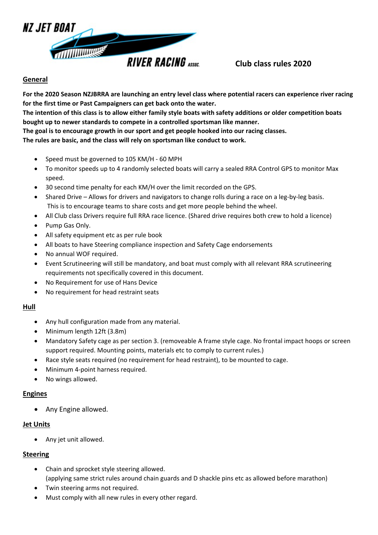

### **General**

**For the 2020 Season NZJBRRA are launching an entry level class where potential racers can experience river racing for the first time or Past Campaigners can get back onto the water.**

**The intention of this class is to allow either family style boats with safety additions or older competition boats bought up to newer standards to compete in a controlled sportsman like manner.**

**The goal is to encourage growth in our sport and get people hooked into our racing classes.**

**The rules are basic, and the class will rely on sportsman like conduct to work.**

- Speed must be governed to 105 KM/H 60 MPH
- To monitor speeds up to 4 randomly selected boats will carry a sealed RRA Control GPS to monitor Max speed.
- 30 second time penalty for each KM/H over the limit recorded on the GPS.
- Shared Drive Allows for drivers and navigators to change rolls during a race on a leg-by-leg basis. This is to encourage teams to share costs and get more people behind the wheel.
- All Club class Drivers require full RRA race licence. (Shared drive requires both crew to hold a licence)
- Pump Gas Only.
- All safety equipment etc as per rule book
- All boats to have Steering compliance inspection and Safety Cage endorsements
- No annual WOF required.
- Event Scrutineering will still be mandatory, and boat must comply with all relevant RRA scrutineering requirements not specifically covered in this document.
- No Requirement for use of Hans Device
- No requirement for head restraint seats

### **Hull**

- Any hull configuration made from any material.
- Minimum length 12ft (3.8m)
- Mandatory Safety cage as per section 3. (removeable A frame style cage. No frontal impact hoops or screen support required. Mounting points, materials etc to comply to current rules.)
- Race style seats required (no requirement for head restraint), to be mounted to cage.
- Minimum 4-point harness required.
- No wings allowed.

#### **Engines**

• Any Engine allowed.

#### **Jet Units**

• Any jet unit allowed.

#### **Steering**

- Chain and sprocket style steering allowed. (applying same strict rules around chain guards and D shackle pins etc as allowed before marathon)
- Twin steering arms not required.
- Must comply with all new rules in every other regard.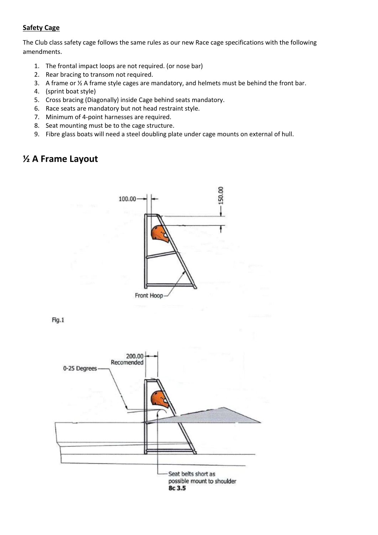### **Safety Cage**

The Club class safety cage follows the same rules as our new Race cage specifications with the following amendments.

- 1. The frontal impact loops are not required. (or nose bar)
- 2. Rear bracing to transom not required.
- 3. A frame or ½ A frame style cages are mandatory, and helmets must be behind the front bar.
- 4. (sprint boat style)
- 5. Cross bracing (Diagonally) inside Cage behind seats mandatory.
- 6. Race seats are mandatory but not head restraint style.
- 7. Minimum of 4-point harnesses are required.
- 8. Seat mounting must be to the cage structure.
- 9. Fibre glass boats will need a steel doubling plate under cage mounts on external of hull.

## **½ A Frame Layout**